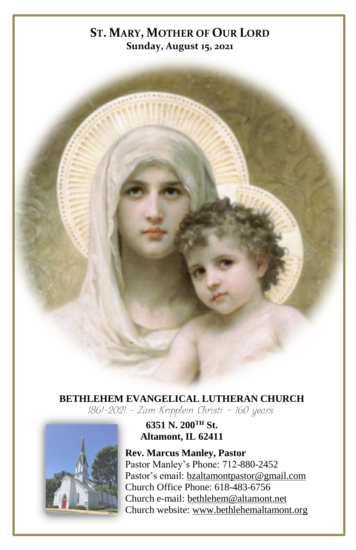# **ST. MARY, MOTHER OF OUR LORD Sunday, August 15, 2021**

# **BETHLEHEM EVANGELICAL LUTHERAN CHURCH**<br>1861-2021 - Zum Kripplein Christi - 160 years



**6351 N. 200TH St. Altamont, IL 62411**

**Rev. Marcus Manley, Pastor** Pastor Manley's Phone: 712-880-2452 Pastor's email[: bzaltamontpastor@gmail.com](mailto:bzaltamontpastor@gmail.com) Church Office Phone: 618-483-6756 Church e-mail: [bethlehem@altamont.net](mailto:bethlehem@altamont.net)  Church website: [www.bethlehemaltamont.org](http://www.bethlehemaltamont.org/)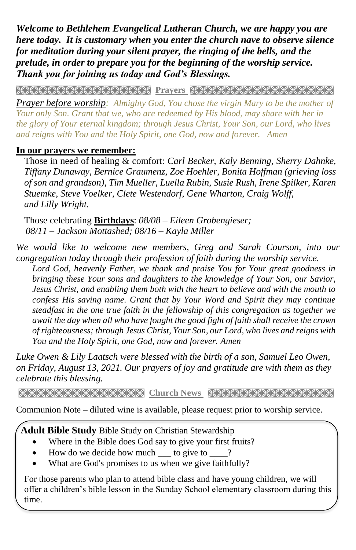*Welcome to Bethlehem Evangelical Lutheran Church, we are happy you are here today. It is customary when you enter the church nave to observe silence for meditation during your silent prayer, the ringing of the bells, and the prelude, in order to prepare you for the beginning of the worship service. Thank you for joining us today and God's Blessings.*

**PRAYARANA NATURAL PROTECT PARAMETERING CONTROLLER** 

*Prayer before worship: Almighty God, You chose the virgin Mary to be the mother of Your only Son. Grant that we, who are redeemed by His blood, may share with her in the glory of Your eternal kingdom; through Jesus Christ, Your Son, our Lord, who lives and reigns with You and the Holy Spirit, one God, now and forever. Amen*

#### **In our prayers we remember:**

Those in need of healing & comfort: *Carl Becker, Kaly Benning, Sherry Dahnke, Tiffany Dunaway, Bernice Graumenz, Zoe Hoehler, Bonita Hoffman (grieving loss of son and grandson), Tim Mueller, Luella Rubin, Susie Rush, Irene Spilker, Karen Stuemke, Steve Voelker, Clete Westendorf, Gene Wharton, Craig Wolff, and Lilly Wright.*

Those celebrating **Birthdays**: *08/08 – Eileen Grobengieser; 08/11 – Jackson Mottashed; 08/16 – Kayla Miller*

*We would like to welcome new members, Greg and Sarah Courson, into our congregation today through their profession of faith during the worship service.*

*Lord God, heavenly Father, we thank and praise You for Your great goodness in bringing these Your sons and daughters to the knowledge of Your Son, our Savior, Jesus Christ, and enabling them both with the heart to believe and with the mouth to confess His saving name. Grant that by Your Word and Spirit they may continue steadfast in the one true faith in the fellowship of this congregation as together we await the day when all who have fought the good fight of faith shall receive the crown of righteousness; through Jesus Christ, Your Son, our Lord, who lives and reigns with You and the Holy Spirit, one God, now and forever. Amen*

*Luke Owen & Lily Laatsch were blessed with the birth of a son, Samuel Leo Owen, on Friday, August 13, 2021. Our prayers of joy and gratitude are with them as they celebrate this blessing.*

**Church News Stranger News Representation And March 1998** 

Communion Note – diluted wine is available, please request prior to worship service.

 **Adult Bible Study** Bible Study on Christian Stewardship

- Where in the Bible does God say to give your first fruits?
- How do we decide how much \_\_\_ to give to \_\_\_?
- What are God's promises to us when we give faithfully?

For those parents who plan to attend bible class and have young children, we will offer a children's bible lesson in the Sunday School elementary classroom during this time.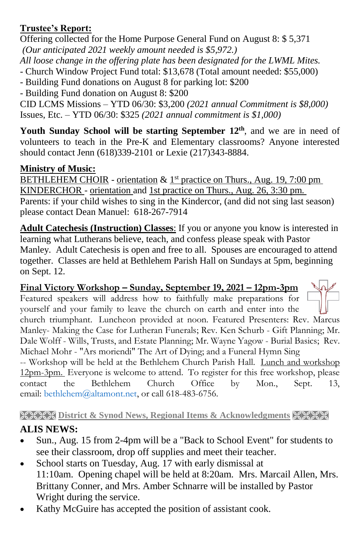#### **Trustee's Report:**

Offering collected for the Home Purpose General Fund on August 8: \$ 5,371 *(Our anticipated 2021 weekly amount needed is \$5,972.)* 

*All loose change in the offering plate has been designated for the LWML Mites.*

- Church Window Project Fund total: \$13,678 (Total amount needed: \$55,000)

- Building Fund donations on August 8 for parking lot: \$200

- Building Fund donation on August 8: \$200

CID LCMS Missions – YTD 06/30: \$3,200 *(2021 annual Commitment is \$8,000)* Issues, Etc. – YTD 06/30: \$325 *(2021 annual commitment is \$1,000)*

**Youth Sunday School will be starting September 12th**, and we are in need of volunteers to teach in the Pre-K and Elementary classrooms? Anyone interested should contact Jenn (618)339-2101 or Lexie (217)343-8884.

## **Ministry of Music:**

BETHLEHEM CHOIR - orientation & 1<sup>st</sup> practice on Thurs., Aug. 19, 7:00 pm KINDERCHOR *-* orientation and 1st practice on Thurs., Aug. 26, 3:30 pm. Parents: if your child wishes to sing in the Kindercor, (and did not sing last season) please contact Dean Manuel: 618-267-7914

**Adult Catechesis (Instruction) Classes**: If you or anyone you know is interested in learning what Lutherans believe, teach, and confess please speak with Pastor Manley. Adult Catechesis is open and free to all. Spouses are encouraged to attend together. Classes are held at Bethlehem Parish Hall on Sundays at 5pm, beginning on Sept. 12.

**Final Victory Workshop – Sunday, September 19, 2021 – 12pm-3pm** Featured speakers will address how to faithfully make preparations for yourself and your family to leave the church on earth and enter into the church triumphant. Luncheon provided at noon. Featured Presenters: Rev. Marcus Manley- Making the Case for Lutheran Funerals; Rev. Ken Schurb - Gift Planning; Mr. Dale Wolff - Wills, Trusts, and Estate Planning; Mr. Wayne Yagow - Burial Basics; Rev. Michael Mohr - "Ars moriendi" The Art of Dying; and a Funeral Hymn Sing -- Workshop will be held at the Bethlehem Church Parish Hall. Lunch and workshop

12pm-3pm. Everyone is welcome to attend. To register for this free workshop, please contact the Bethlehem Church Office by Mon., Sept. 13, email: bethlehem@altamont.net, or call 618-483-6756.

# **REER District & Synod News, Regional Items & Acknowledgments HEER**

## **ALIS NEWS:**

- Sun., Aug. 15 from 2-4pm will be a "Back to School Event" for students to see their classroom, drop off supplies and meet their teacher.
- School starts on Tuesday, Aug. 17 with early dismissal at 11:10am. Opening chapel will be held at 8:20am. Mrs. Marcail Allen, Mrs. Brittany Conner, and Mrs. Amber Schnarre will be installed by Pastor Wright during the service.
- Kathy McGuire has accepted the position of assistant cook.